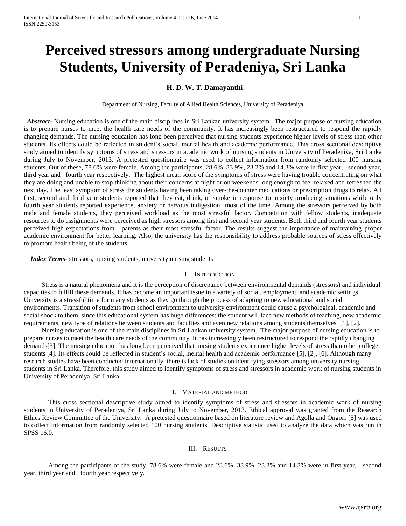# **Perceived stressors among undergraduate Nursing Students, University of Peradeniya, Sri Lanka**

# **H. D. W. T. Damayanthi**

Department of Nursing, Faculty of Allied Health Sciences, University of Peradeniya

 *Abstract***-** Nursing education is one of the main disciplines in Sri Lankan university system. The major purpose of nursing education is to prepare nurses to meet the health care needs of the community. It has increasingly been restructured to respond the rapidly changing demands. The nursing education has long been perceived that nursing students experience higher levels of stress than other students. Its effects could be reflected in student's social, mental health and academic performance. This cross sectional descriptive study aimed to identify symptoms of stress and stressors in academic work of nursing students in University of Peradeniya, Sri Lanka during July to November, 2013. A pretested questionnaire was used to collect information from randomly selected 100 nursing students. Out of these, 78.6% were female. Among the participants, 28.6%, 33.9%, 23.2% and 14.3% were in first year, second year, third year and fourth year respectively. The highest mean score of the symptoms of stress were having trouble concentrating on what they are doing and unable to stop thinking about their concerns at night or on weekends long enough to feel relaxed and refreshed the next day. The least symptom of stress the students having been taking over-the-counter medications or prescription drugs to relax. All first, second and third year students reported that they eat, drink, or smoke in response to anxiety producing situations while only fourth year students reported experience, anxiety or nervous indigestion most of the time. Among the stressors perceived by both male and female students, they perceived workload as the most stressful factor. Competition with fellow students, inadequate resources to do assignments were perceived as high stressors among first and second year students. Both third and fourth year students perceived high expectations from parents as their most stressful factor. The results suggest the importance of maintaining proper academic environment for better learning. Also, the university has the responsibility to address probable sources of stress effectively to promote health being of the students.

 *Index Terms*- stressors, nursing students, university nursing students

# I. INTRODUCTION

Stress is a natural phenomena and it is the perception of discrepancy between environmental demands (stressors) and individual capacities to fulfill these demands. It has become an important issue in a variety of social, employment, and academic settings. University is a stressful time for many students as they go through the process of adapting to new educational and social environments. Transition of students from school environment to university environment could cause a psychological, academic and social shock to them, since this educational system has huge differences: the student will face new methods of teaching, new academic requirements, new type of relations between students and faculties and even new relations among students themselves [1], [2].

Nursing education is one of the main disciplines in Sri Lankan university system. The major purpose of nursing education is to prepare nurses to meet the health care needs of the community. It has increasingly been restructured to respond the rapidly changing demands[3]. The nursing education has long been perceived that nursing students experience higher levels of stress than other college students [4]. Its effects could be reflected in student's social, mental health and academic performance [5], [2], [6]. Although many research studies have been conducted internationally, there is lack of studies on identifying stressors among university nursing students in Sri Lanka. Therefore, this study aimed to identify symptoms of stress and stressors in academic work of nursing students in University of Peradeniya, Sri Lanka.

# II. MATERIAL AND METHOD

 This cross sectional descriptive study aimed to identify symptoms of stress and stressors in academic work of nursing students in University of Peradeniya, Sri Lanka during July to November, 2013. Ethical approval was granted from the Research Ethics Review Committee of the University. A pretested questionnaire based on literature review and Agolla and Ongori [5] was used to collect information from randomly selected 100 nursing students. Descriptive statistic used to analyze the data which was run in SPSS 16.0.

#### III. RESULTS

 Among the participants of the study, 78.6% were female and 28.6%, 33.9%, 23.2% and 14.3% were in first year, second year, third year and fourth year respectively.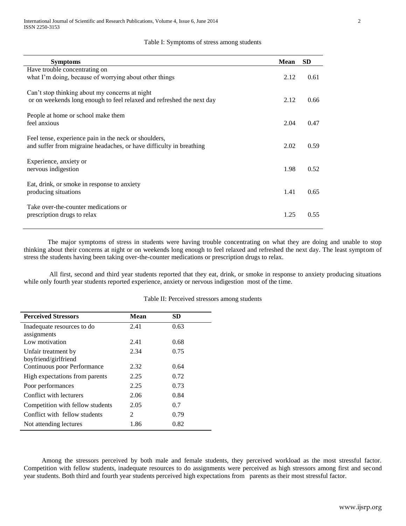## Table I: Symptoms of stress among students

| <b>Symptoms</b>                                                                                                              | <b>Mean</b> | <b>SD</b> |
|------------------------------------------------------------------------------------------------------------------------------|-------------|-----------|
| Have trouble concentrating on                                                                                                |             |           |
| what I'm doing, because of worrying about other things                                                                       | 2.12        | 0.61      |
| Can't stop thinking about my concerns at night<br>or on weekends long enough to feel relaxed and refreshed the next day      | 2.12        | 0.66      |
| People at home or school make them<br>feel anxious                                                                           | 2.04        | 0.47      |
| Feel tense, experience pain in the neck or shoulders,<br>and suffer from migraine headaches, or have difficulty in breathing | 2.02        | 0.59      |
| Experience, anxiety or<br>nervous indigestion                                                                                | 1.98        | 0.52      |
| Eat, drink, or smoke in response to anxiety<br>producing situations                                                          | 1.41        | 0.65      |
| Take over-the-counter medications or<br>prescription drugs to relax                                                          | 1.25        | 0.55      |

The major symptoms of stress in students were having trouble concentrating on what they are doing and unable to stop thinking about their concerns at night or on weekends long enough to feel relaxed and refreshed the next day. The least symptom of stress the students having been taking over-the-counter medications or prescription drugs to relax.

All first, second and third year students reported that they eat, drink, or smoke in response to anxiety producing situations while only fourth year students reported experience, anxiety or nervous indigestion most of the time.

| <b>Perceived Stressors</b>       | Mean           | <b>SD</b> |  |
|----------------------------------|----------------|-----------|--|
| Inadequate resources to do       | 2.41           | 0.63      |  |
| assignments                      |                |           |  |
| Low motivation                   | 2.41           | 0.68      |  |
| Unfair treatment by              | 2.34           | 0.75      |  |
| boyfriend/girlfriend             |                |           |  |
| Continuous poor Performance      | 2.32           | 0.64      |  |
| High expectations from parents   | 2.25           | 0.72      |  |
| Poor performances                | 2.25           | 0.73      |  |
| Conflict with lecturers          | 2.06           | 0.84      |  |
| Competition with fellow students | 2.05           | 0.7       |  |
| Conflict with fellow students    | $\mathfrak{D}$ | 0.79      |  |
| Not attending lectures           | 1.86           | 0.82      |  |

Table II: Perceived stressors among students

Among the stressors perceived by both male and female students, they perceived workload as the most stressful factor. Competition with fellow students, inadequate resources to do assignments were perceived as high stressors among first and second year students. Both third and fourth year students perceived high expectations from parents as their most stressful factor.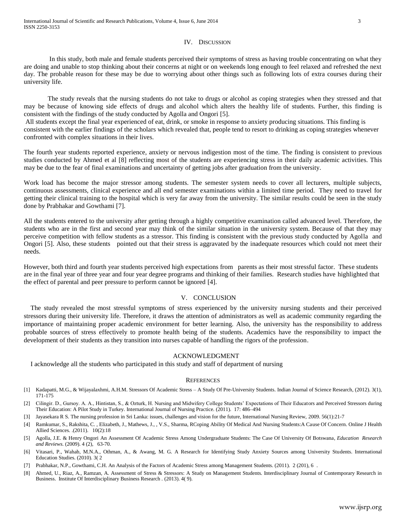## IV. DISCUSSION

 In this study, both male and female students perceived their symptoms of stress as having trouble concentrating on what they are doing and unable to stop thinking about their concerns at night or on weekends long enough to feel relaxed and refreshed the next day. The probable reason for these may be due to worrying about other things such as following lots of extra courses during their university life.

The study reveals that the nursing students do not take to drugs or alcohol as coping strategies when they stressed and that may be because of knowing side effects of drugs and alcohol which alters the healthy life of students. Further, this finding is consistent with the findings of the study conducted by Agolla and Ongori [5].

All students except the final year experienced of eat, drink, or smoke in response to anxiety producing situations. This finding is consistent with the earlier findings of the scholars which revealed that, people tend to resort to drinking as coping strategies whenever confronted with complex situations in their lives.

The fourth year students reported experience, anxiety or nervous indigestion most of the time. The finding is consistent to previous studies conducted by Ahmed et al [8] reflecting most of the students are experiencing stress in their daily academic activities. This may be due to the fear of final examinations and uncertainty of getting jobs after graduation from the university.

Work load has become the major stressor among students. The semester system needs to cover all lecturers, multiple subjects, continuous assessments, clinical experience and all end semester examinations within a limited time period. They need to travel for getting their clinical training to the hospital which is very far away from the university. The similar results could be seen in the study done by Prabhakar and Gowthami [7].

All the students entered to the university after getting through a highly competitive examination called advanced level. Therefore, the students who are in the first and second year may think of the similar situation in the university system. Because of that they may perceive competition with fellow students as a stressor. This finding is consistent with the previous study conducted by Agolla and Ongori [5]. Also, these students pointed out that their stress is aggravated by the inadequate resources which could not meet their needs.

However, both third and fourth year students perceived high expectations from parents as their most stressful factor. These students are in the final year of three year and four year degree programs and thinking of their families. Research studies have highlighted that the effect of parental and peer pressure to perform cannot be ignored [4].

#### V. CONCLUSION

The study revealed the most stressful symptoms of stress experienced by the university nursing students and their perceived stressors during their university life. Therefore, it draws the attention of administrators as well as academic community regarding the importance of maintaining proper academic environment for better learning. Also, the university has the responsibility to address probable sources of stress effectively to promote health being of the students. Academics have the responsibility to impact the development of their students as they transition into nurses capable of handling the rigors of the profession.

#### ACKNOWLEDGMENT

I acknowledge all the students who participated in this study and staff of department of nursing

#### **REFERENCES**

- [1] Kadapatti, M.G., & Wijayalaxhmi, A.H.M. Stressors Of Academic Stress A Study Of Pre-University Students. Indian Journal of Science Research, (2012). 3(1), 171-175
- [2] Cilingir, D., Gursoy, A. A., Hintistan, S., & Ozturk, H. Nursing and Midwifery College Students' Expectations of Their Educators and Perceived Stressors during Their Education: A Pilot Study in Turkey. International Journal of Nursing Practice. (2011). 17: 486–494
- [3] Jayasekara R S. The nursing profession in Sri Lanka: issues, challenges and vision for the future, International Nursing Review, 2009. 56(1):21-7
- [4] Ramkumar, S., Rakshita, C. , Elizabeth, J., Mathews, J., , V.S., Sharma, RCoping Ability Of Medical And Nursing Students:A Cause Of Concern. Online J Health Allied Sciences. .(2011). 10(2):18
- [5] Agolla, J.E. & Henry Ongori An Assessment Of Academic Stress Among Undergraduate Students: The Case Of University Of Botswana*, Education Research and Reviews.* (2009). 4 (2), 63-70.
- [6] Vitasari, P., Wahab, M.N.A., Othman, A., & Awang, M. G. A Research for Identifying Study Anxiety Sources among University Students. International Education Studies. (2010). 3( 2
- [7] Prabhakar, N.P., Gowthami, C.H. An Analysis of the Factors of Academic Stress among Management Students. (2011). 2 (201), 6 .
- [8] Ahmed, U., Riaz, A., Ramzan, A. Assessment of Stress & Stressors: A Study on Management Students. Interdisciplinary Journal of Contemporary Research in Business. Institute Of Interdisciplinary Business Research . (2013). 4( 9).